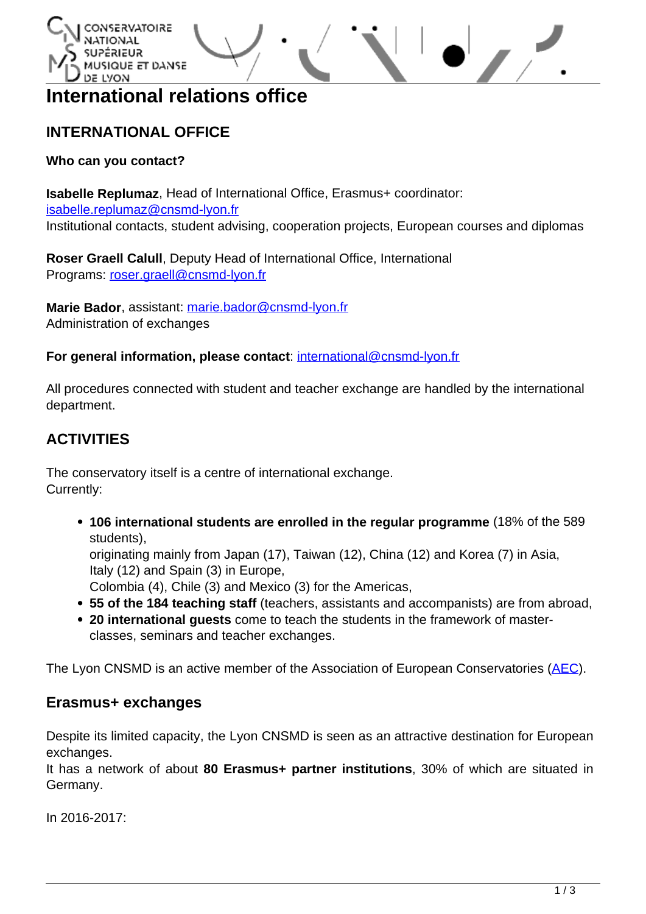



# **International relations office**

## **INTERNATIONAL OFFICE**

## **Who can you contact?**

**Isabelle Replumaz**, Head of International Office, Erasmus+ coordinator: [isabelle.replumaz@cnsmd-lyon.fr](mailto:isabelle.replumaz@cnsmd-lyon.fr) Institutional contacts, student advising, cooperation projects, European courses and diplomas

**Roser Graell Calull**, Deputy Head of International Office, International Programs: [roser.graell@cnsmd-lyon.fr](mailto:roser.graell@cnsmd-lyon.fr)

**Marie Bador**, assistant: [marie.bador@cnsmd-lyon.fr](mailto:marie.bador@cnsmd-lyon.fr) Administration of exchanges

**For general information, please contact**: <international@cnsmd-lyon.fr>

All procedures connected with student and teacher exchange are handled by the international department.

## **ACTIVITIES**

The conservatory itself is a centre of international exchange. Currently:

**106 international students are enrolled in the regular programme** (18% of the 589 students),

originating mainly from Japan (17), Taiwan (12), China (12) and Korea (7) in Asia, Italy (12) and Spain (3) in Europe,

Colombia (4), Chile (3) and Mexico (3) for the Americas,

- **55 of the 184 teaching staff** (teachers, assistants and accompanists) are from abroad,
- **20 international guests** come to teach the students in the framework of masterclasses, seminars and teacher exchanges.

The Lyon CNSMD is an active member of the Association of European Conservatories ([AEC](http://www.aec-music.eu)).

## **Erasmus+ exchanges**

Despite its limited capacity, the Lyon CNSMD is seen as an attractive destination for European exchanges.

It has a network of about **80 Erasmus+ partner institutions**, 30% of which are situated in Germany.

In 2016-2017: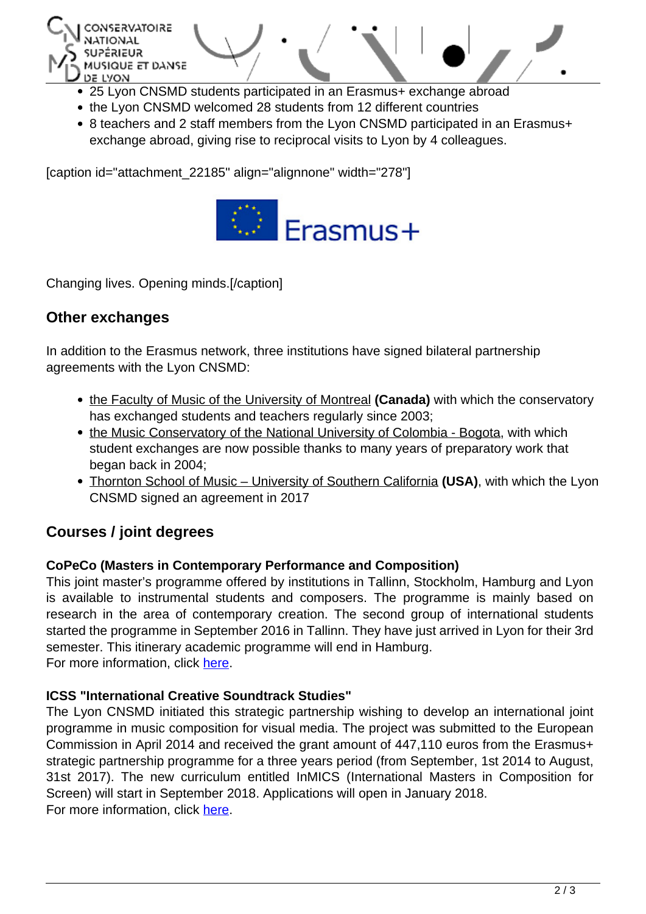

- 
- the Lyon CNSMD welcomed 28 students from 12 different countries
- 8 teachers and 2 staff members from the Lyon CNSMD participated in an Erasmus+ exchange abroad, giving rise to reciprocal visits to Lyon by 4 colleagues.

[caption id="attachment\_22185" align="alignnone" width="278"]



Changing lives. Opening minds.[/caption]

## **Other exchanges**

In addition to the Erasmus network, three institutions have signed bilateral partnership agreements with the Lyon CNSMD:

- [the Faculty of Music of the University of Montreal](http://www.musique.umontreal.ca/) (Canada) with which the conservatory has exchanged students and teachers regularly since 2003;
- [the Music Conservatory of the National University of Colombia Bogota](http://www.unal.edu.co/index.html), with which student exchanges are now possible thanks to many years of preparatory work that began back in 2004;
- [Thornton School of Music University of Southern California](http://music.usc.edu/) **(USA)**, with which the Lyon CNSMD signed an agreement in 2017

## **Courses / joint degrees**

#### **CoPeCo (Masters in Contemporary Performance and Composition)**

This joint master's programme offered by institutions in Tallinn, Stockholm, Hamburg and Lyon is available to instrumental students and composers. The programme is mainly based on research in the area of contemporary creation. The second group of international students started the programme in September 2016 in Tallinn. They have just arrived in Lyon for their 3rd semester. This itinerary academic programme will end in Hamburg. For more information, click [here](http://www.cnsmd-lyon.fr/en-2/international/copeco-2).

**ICSS "International Creative Soundtrack Studies"**

The Lyon CNSMD initiated this strategic partnership wishing to develop an international joint programme in music composition for visual media. The project was submitted to the European Commission in April 2014 and received the grant amount of 447,110 euros from the Erasmus+ strategic partnership programme for a three years period (from September, 1st 2014 to August, 31st 2017). The new curriculum entitled InMICS (International Masters in Composition for Screen) will start in September 2018. Applications will open in January 2018. For more information, click [here](http://www.cnsmd-lyon.fr/en-2/international/icss-international-creative-soundtrack-studies).